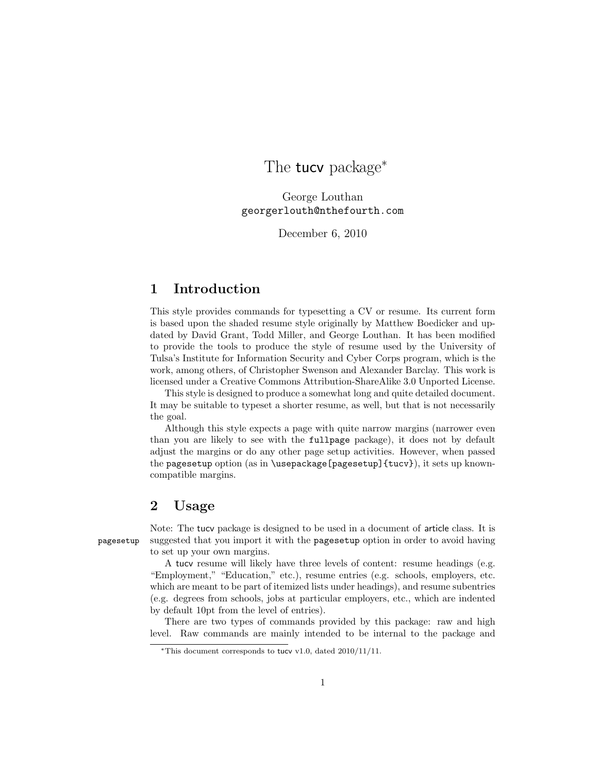# The **tucy** package<sup>∗</sup>

George Louthan georgerlouth@nthefourth.com

December 6, 2010

## 1 Introduction

This style provides commands for typesetting a CV or resume. Its current form is based upon the shaded resume style originally by Matthew Boedicker and updated by David Grant, Todd Miller, and George Louthan. It has been modified to provide the tools to produce the style of resume used by the University of Tulsa's Institute for Information Security and Cyber Corps program, which is the work, among others, of Christopher Swenson and Alexander Barclay. This work is licensed under a Creative Commons Attribution-ShareAlike 3.0 Unported License.

This style is designed to produce a somewhat long and quite detailed document. It may be suitable to typeset a shorter resume, as well, but that is not necessarily the goal.

Although this style expects a page with quite narrow margins (narrower even than you are likely to see with the fullpage package), it does not by default adjust the margins or do any other page setup activities. However, when passed the pagesetup option (as in \usepackage[pagesetup] ${tucv}$ }, it sets up knowncompatible margins.

### 2 Usage

Note: The tucv package is designed to be used in a document of article class. It is pagesetup suggested that you import it with the pagesetup option in order to avoid having to set up your own margins.

> A tucv resume will likely have three levels of content: resume headings (e.g. "Employment," "Education," etc.), resume entries (e.g. schools, employers, etc. which are meant to be part of itemized lists under headings), and resume subentries (e.g. degrees from schools, jobs at particular employers, etc., which are indented by default 10pt from the level of entries).

> There are two types of commands provided by this package: raw and high level. Raw commands are mainly intended to be internal to the package and

<sup>∗</sup>This document corresponds to tucv v1.0, dated 2010/11/11.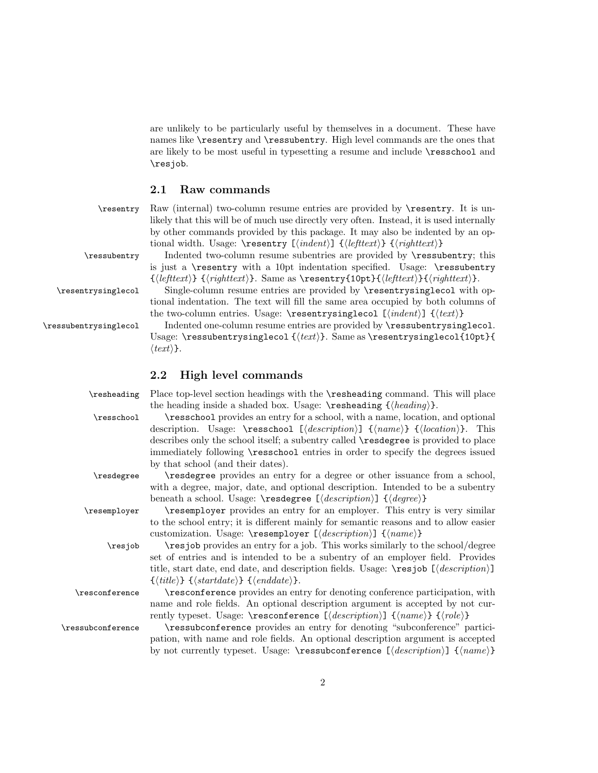are unlikely to be particularly useful by themselves in a document. These have names like \resentry and \ressubentry. High level commands are the ones that are likely to be most useful in typesetting a resume and include \resschool and \resjob.

 $\rm{Raw}$  (internal) two-column resume entries are provided by  $\text{reservation}}$ . It is unlikely that this will be of much use directly very often. Instead, it is used internally by other commands provided by this package. It may also be indented by an op-

is just a \resentry with a 10pt indentation specified. Usage: \ressubentry  ${\left\{\left(\left|\right\{\left(\left|\right\{\left(\left|\right\{\left(\left|\right\{\left(\left|\right\{\left(\left|\right)\right\{\left(\left|\right\{\left(\left|\right)\right\{\left(\left|\right\{\left(\left|\right)\right\{\left(\left|\right)\right\{\left(\left|\right)\right\{\left(\left|\right)\right\{\left(\left|\right)\right\{\left(\left|\right)\right\{\left(\left|\right)\right\{\left(\left|\right)\right\{\left(\left|\right)\right\{\left(\left|\right)\right\{\left(\left|\right)\right\{\left(\left|\right)\right\{\left(\left|\right)\right\{\left(\left|\right)\right\{\left(\left|\right)\right\{\left(\left|\right)\right\{\left(\left|\right$ 

tional indentation. The text will fill the same area occupied by both columns of

tional width. Usage:  $\text{length}( \{ \text{left} ) \}$  { $\{ \text{right} \}$ }

#### 2.1 Raw commands

| \resentry |
|-----------|
|-----------|

\ressubentry Indented two-column resume subentries are provided by \ressubentry; this

\resentrysinglecol Single-column resume entries are provided by \resentrysinglecol with op-

the two-column entries. Usage: \resentrysinglecol  $[\langle \text{indent} \rangle]$   $\{\langle \text{text} \rangle\}$ \ressubentrysinglecol Indented one-column resume entries are provided by \ressubentrysinglecol. Usage: \ressubentrysinglecol  $\{\text{text}\}$ . Same as \resentrysinglecol{10pt}{  $\langle text \rangle$ .

#### 2.2 High level commands

beneath a school. Usage:  $\r{description}$  { $\{degree\}$ } \resemployer \resemployer provides an entry for an employer. This entry is very similar to the school entry; it is different mainly for semantic reasons and to allow easier customization. Usage:  $\text{log} \{description\} \ \{\langle name \rangle\}$ 

\resjob \resjob provides an entry for a job. This works similarly to the school/degree set of entries and is intended to be a subentry of an employer field. Provides title, start date, end date, and description fields. Usage:  $\resjob \ [\ \ \ \ \ \ \ \ \$  ${\{\langle title \rangle\}} {\{\langle startedate \rangle\}} {\{\langle enddate \rangle\}}.$ 

\resconference \resconference provides an entry for denoting conference participation, with name and role fields. An optional description argument is accepted by not currently typeset. Usage: \resconference  $[\langle description \rangle] \ {\langle name \rangle} \ {\langle rule \rangle}$ 

\ressubconference \ressubconference provides an entry for denoting "subconference" participation, with name and role fields. An optional description argument is accepted by not currently typeset. Usage:  $\r{description}$  { $\langle harmonic\rangle$ }

\resheading Place top-level section headings with the \resheading command. This will place the heading inside a shaded box. Usage:  $\{\headbeta\}$ .

\resschool \resschool provides an entry for a school, with a name, location, and optional description. Usage:  $\r{description}$  { $\{name\}$  { $\{location\}$ . This describes only the school itself; a subentry called \resdegree is provided to place immediately following \resschool entries in order to specify the degrees issued

by that school (and their dates). \resdegree \resdegree provides an entry for a degree or other issuance from a school, with a degree, major, date, and optional description. Intended to be a subentry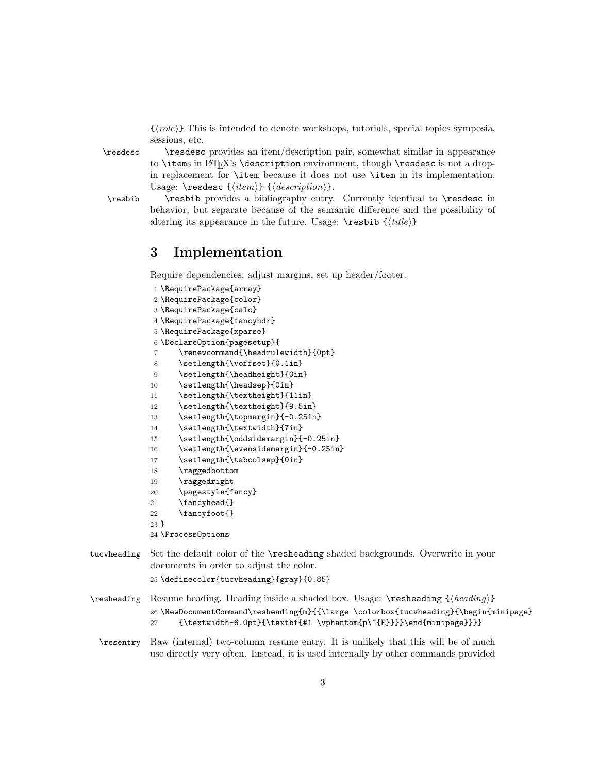$\{\langle role\rangle\}$  This is intended to denote workshops, tutorials, special topics symposia, sessions, etc.

\resdesc \resdesc provides an item/description pair, somewhat similar in appearance to \items in LATEX's \description environment, though \resdesc is not a dropin replacement for \item because it does not use \item in its implementation. Usage:  $\r{item}$  { $\{description\}.$ 

\resbib \resbib provides a bibliography entry. Currently identical to \resdesc in behavior, but separate because of the semantic difference and the possibility of altering its appearance in the future. Usage:  $\text{resbib } \{\text{title}\}$ 

### 3 Implementation

Require dependencies, adjust margins, set up header/footer.

```
1 \RequirePackage{array}
             2 \RequirePackage{color}
             3 \RequirePackage{calc}
             4 \RequirePackage{fancyhdr}
             5 \RequirePackage{xparse}
             6 \DeclareOption{pagesetup}{
             7 \renewcommand{\headrulewidth}{0pt}
             8 \setlength{\voffset}{0.1in}
             9 \setlength{\headheight}{0in}
            10 \setlength{\headsep}{0in}
            11 \setlength{\textheight}{11in}
            12 \setlength{\textheight}{9.5in}
            13 \setlength{\topmargin}{-0.25in}
            14 \setlength{\textwidth}{7in}
            15 \setlength{\oddsidemargin}{-0.25in}
            16 \setlength{\evensidemargin}{-0.25in}
            17 \setlength{\tabcolsep}{0in}
            18 \raggedbottom
            19 \raggedright
            20 \pagestyle{fancy}
            21 \fancyhead{}
            22 \fancyfoot{}
            23 }
            24 \ProcessOptions
tucvheading Set the default color of the \resheading shaded backgrounds. Overwrite in your
            documents in order to adjust the color.
            25 \definecolor{tucvheading}{gray}{0.85}
```
- \resheading Resume heading. Heading inside a shaded box. Usage: \resheading  $\{ \heasuredangle \}$ 26 \NewDocumentCommand\resheading{m}{{\large \colorbox{tucvheading}{\begin{minipage} 27 {\textwidth-6.0pt}{\textbf{#1 \vphantom{p\^{E}}}}\end{minipage}}}}
	- \resentry Raw (internal) two-column resume entry. It is unlikely that this will be of much use directly very often. Instead, it is used internally by other commands provided

3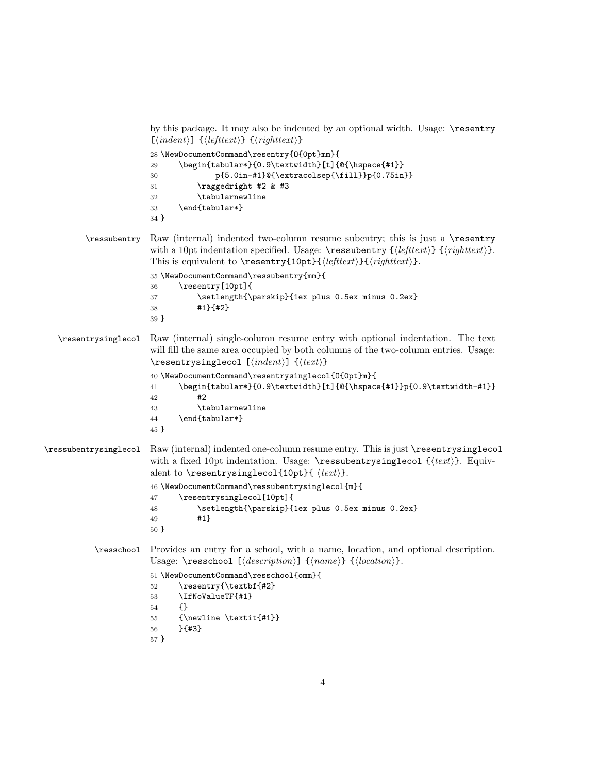```
by this package. It may also be indented by an optional width. Usage: \resentry
                        [\langle \text{indent} \rangle] \{ \langle \text{leftext} \rangle \} \{ \langle \text{rightext} \rangle \}28 \NewDocumentCommand\resentry{O{0pt}mm}{
                        29 \begin{tabular*}{0.9\textwidth}[t]{@{\hspace{#1}}
                        30 p{5.0in-#1}@{\extracolsep{\fill}}p{0.75in}}
                        31 \raggedright #2 & #3
                        32 \tabularnewline
                        33 \end{tabular*}
                        34 }
         \ressubentry Raw (internal) indented two-column resume subentry; this is just a \resentry
                        with a 10pt indentation specified. Usage: \ressubentry {hlefttexti} {hrighttexti}.
                        This is equivalent to \text{10pt}{\left(\text{leftext}\right{\left(\text{right)}}.
                        35 \NewDocumentCommand\ressubentry{mm}{
                        36 \resentry[10pt]{
                        37 \setlength{\parskip}{1ex plus 0.5ex minus 0.2ex}
                        38 #1}{#2}
                        39 }
   \resentrysinglecol Raw (internal) single-column resume entry with optional indentation. The text
                        will fill the same area occupied by both columns of the two-column entries. Usage:
                        \resentrysinglecol [\langle \text{indent} \rangle] \{ \text{text} \}40 \NewDocumentCommand\resentrysinglecol{O{0pt}m}{
                        41 \label{thm:main} $$42 #2
                        43 \tabularnewline
                        44 \end{tabular*}
                        45 }
\ressubentrysinglecol Raw (internal) indented one-column resume entry. This is just \resentrysinglecol
                        with a fixed 10pt indentation. Usage: \ressubentrysinglecol \{\langle text \rangle\}. Equiv-
                        alent to \resentrysinglecol{10pt}{ \langle text \rangle}.
                        46 \NewDocumentCommand\ressubentrysinglecol{m}{
                        47 \resentrysinglecol[10pt]{
                        48 \setlength{\parskip}{1ex plus 0.5ex minus 0.2ex}
                        49 #1}
                        50 }
           \resschool Provides an entry for a school, with a name, location, and optional description.
                        Usage: \resschool [\langle description \rangle] {\langle name \rangle} {\langle location \rangle}.51 \NewDocumentCommand\resschool{omm}{
                        52 \resentry{\textbf{#2}
                        53 \IfNoValueTF{#1}
                        54 {}
                        55 {\newline \textit{#1}}
                        56 }{#3}
                        57 }
```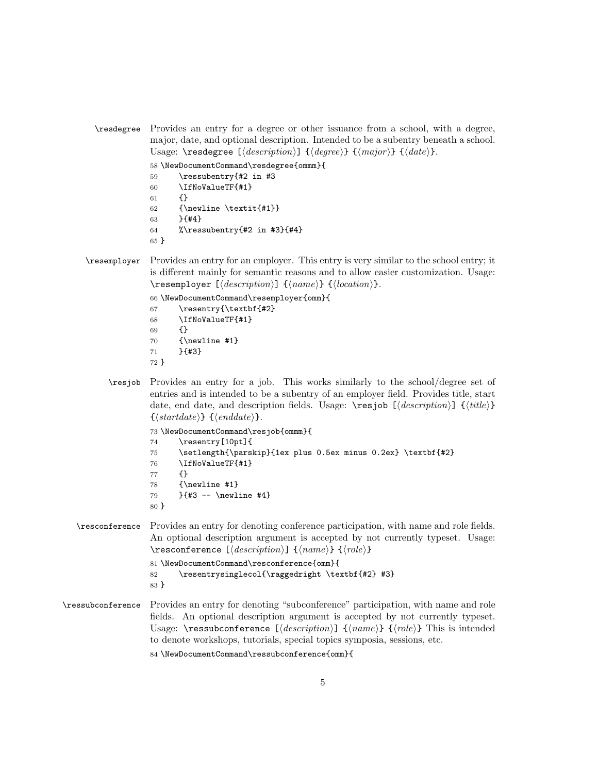\resdegree Provides an entry for a degree or other issuance from a school, with a degree, major, date, and optional description. Intended to be a subentry beneath a school. Usage: \resdegree  $[\langle \text{description} \rangle]$  { $\langle \text{degree} \rangle$ } { $\langle \text{major} \rangle$ } { $\langle \text{date} \rangle$ }.

```
58 \NewDocumentCommand\resdegree{ommm}{
59 \ressubentry{#2 in #3
60 \IfNoValueTF{#1}
61 {}
62 {\newline \textit{#1}}
63 }{#4}
64 %\ressubentry{#2 in #3}{#4}
65 }
```
\resemployer Provides an entry for an employer. This entry is very similar to the school entry; it is different mainly for semantic reasons and to allow easier customization. Usage:  $\text{Kressemployer } [\text{description}] \ {\text{name}} \ {\text{location}}\$ .

```
66 \NewDocumentCommand\resemployer{omm}{
67 \resentry{\textbf{#2}
68 \IfNoValueTF{#1}
69 {}
70 {\newline #1}
71 }{#3}
72 }
```
\resjob Provides an entry for a job. This works similarly to the school/degree set of entries and is intended to be a subentry of an employer field. Provides title, start date, end date, and description fields. Usage:  $\text{resjob } [\text{description}] \{ \text{title} \}$  $\{\langle startedate \rangle\} \cdot \{\langle enddate \rangle\}.$ 

```
73 \NewDocumentCommand\resjob{ommm}{
74 \resentry[10pt]{
75 \setlength{\parskip}{1ex plus 0.5ex minus 0.2ex} \textbf{#2}
76 \IfNoValueTF{#1}
77 {}
78 {\newline #1}
79 }{#3 -- \newline #4}
80 }
```
\resconference Provides an entry for denoting conference participation, with name and role fields. An optional description argument is accepted by not currently typeset. Usage: \resconference  $[\langle description \rangle] \ {\langle name \rangle\} \ {\langle role \rangle\}$ 

```
81 \NewDocumentCommand\resconference{omm}{
82 \resentrysinglecol{\raggedright \textbf{#2} #3}
83 }
```
\ressubconference Provides an entry for denoting "subconference" participation, with name and role fields. An optional description argument is accepted by not currently typeset. Usage: \ressubconference  $[\langle \text{description} \rangle] \ {\langle \text{name} \rangle\} \ {\langle \text{role} \rangle\}$  This is intended to denote workshops, tutorials, special topics symposia, sessions, etc.

```
84 \NewDocumentCommand\ressubconference{omm}{
```